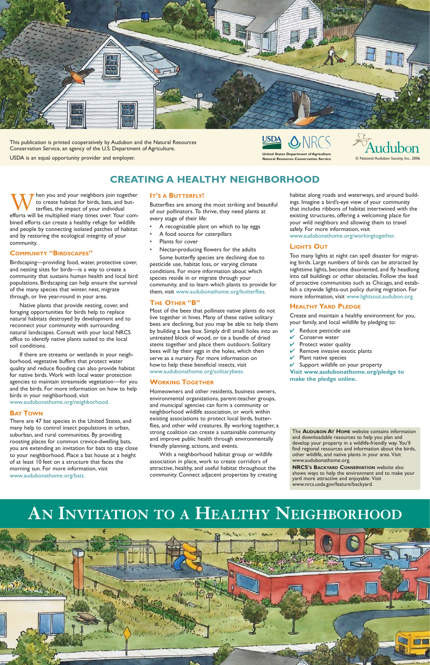The **AUDUBON AT HOME** website contains information and downloadable resources to help you plan and develop your property in a wildlife-friendly way. You'll find regional resources and information about the birds, other wildlife, and native plants in your area. Visit www.audubonathome.org.

**NRCS'S BACKYARD CONSERVATION** website also shows ways to help the environment and to make your yard more attractive and enjoyable. Visit www.nrcs.usda.gov/feature/backyard.

When you and your neighbors join together<br>to create habitat for birds, bats, and but-<br>terflies, the impact of your individual<br>efforts will be multiplied many times over. Your comto create habitat for birds, bats, and butterflies, the impact of your individual bined efforts can create a healthy refuge for wildlife and people by connecting isolated patches of habitat and by restoring the ecological integrity of your community.

## **COMMUNITY "BIRDSCAPES"**

Birdscaping—providing food, water, protective cover, and nesting sites for birds—is a way to create a community that sustains human health and local bird populations. Birdscaping can help ensure the survival of the many species that winter, nest, migrate through, or live year-round in your area.

Native plants that provide nesting, cover, and foraging opportunities for birds help to replace natural habitats destroyed by development and to reconnect your community with surrounding natural landscapes. Consult with your local NRCS office to identify native plants suited to the local soil conditions.

If there are streams or wetlands in your neighborhood, vegetative buffers that protect water quality and reduce flooding can also provide habitat for native birds. Work with local water protection agencies to maintain streamside vegetation—for you and the birds. For more information on how to help birds in your neighborhood, visit www.audubonathome.org/neighborhood.

**BAT TOWN**

There are 47 bat species in the United States, and many help to control insect populations in urban, suburban, and rural communities. By providing roosting places for common crevice-dwelling bats, you are extending an invitation for bats to stay close to your neighborhood. Place a bat house at a height of at least 10 feet on a structure that faces the morning sun. For more information, visit www.audubonathome.org/bats.

### **IT'S A BUTTERFLY!**

Butterflies are among the most striking and beautiful of our pollinators. To thrive, they need plants at every stage of their life:

- A recognizable plant on which to lay eggs
- A food source for caterpillars
- Plants for cover
- Nectar-producing flowers for the adults

Some butterfly species are declining due to pesticide use, habitat loss, or varying climate conditions. For more information about which species reside in or migrate through your community, and to learn which plants to provide for them, visit www.audubonathome.org/butterflies.

## **THE OTHER "B"**

Most of the bees that pollinate native plants do not live together in hives. Many of these native solitary bees are declining, but you may be able to help them by building a bee box. Simply drill small holes into an untreated block of wood, or tie a bundle of dried stems together and place them outdoors. Solitary bees will lay their eggs in the holes, which then serve as a nursery. For more information on how to help these beneficial insects, visit www.audubonathome.org/solitarybees.

## **WORKING TOGETHER**

Homeowners and other residents, business owners, environmental organizations, parent-teacher groups, and municipal agencies can form a community or neighborhood wildlife association, or work within existing associations to protect local birds, butterflies, and other wild creatures. By working together, a strong coalition can create a sustainable community and improve public health through environmentally friendly planning, actions, and events.

With a neighborhood habitat group or wildlife association in place, work to create corridors of attractive, healthy, and useful habitat throughout the community. Connect adjacent properties by creating habitat along roads and waterways, and around buildings. Imagine a bird's-eye view of your community that includes ribbons of habitat intertwined with the existing structures, offering a welcoming place for your wild neighbors and allowing them to travel safely. For more information, visit www.audubonathome.org/workingtogether.

## **LIGHTS OUT**

Too many lights at night can spell disaster for migrating birds. Large numbers of birds can be attracted by nighttime lights, become disoriented, and fly headlong into tall buildings or other obstacles. Follow the lead of proactive communities such as Chicago, and establish a citywide lights-out policy during migration. For more information, visit www.lightsout.audubon.org.

## **HEALTHY YARD PLEDGE**

Create and maintain a healthy environment for you, your family, and local wildlife by pledging to:

- $\vee$  Reduce pesticide use
- Conserve water
- $\vee$  Protect water quality
- Remove invasive exotic plants
- Plant native species
- $\vee$  Support wildlife on your property

**Visit www.audubonathome.org/pledge to make the pledge online.**

## **CREATING A HEALTHY NEIGHBORHOOD**



This publication is printed cooperatively by Audubon and the Natural Resources Conservation Service, an agency of the U.S. Department of Agriculture.

USDA is an equal opportunity provider and employer. **United States Department of Agriculture**



 $©$  National Audubon Society, Inc., 2006

## **AN INVITATION TO A HEALTHY NEIGHBORHOOD**